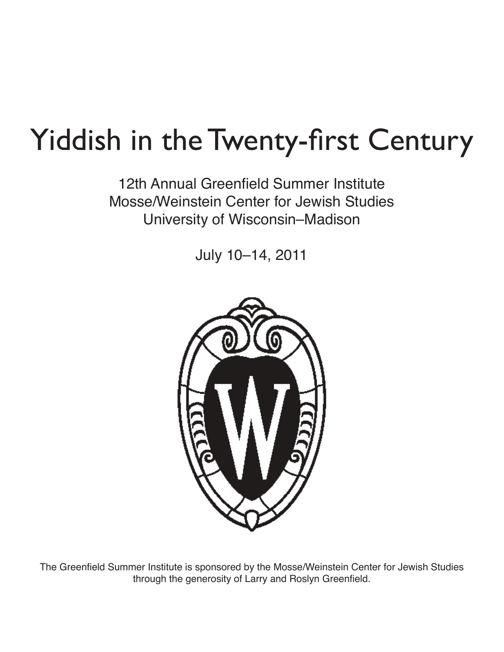# Yiddish in the Twenty-first Century

12th Annual Greenfield Summer Institute Mosse/Weinstein Center for Jewish Studies University of Wisconsin–Madison

July 10–14, 2011



The Greenfield Summer Institute is sponsored by the Mosse/Weinstein Center for Jewish Studies through the generosity of Larry and Roslyn Greenfield.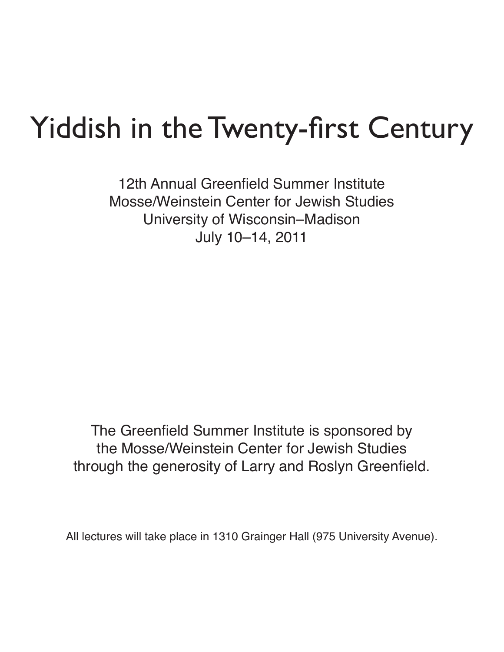# Yiddish in the Twenty-first Century

12th Annual Greenfield Summer Institute Mosse/Weinstein Center for Jewish Studies University of Wisconsin–Madison July 10–14, 2011

The Greenfield Summer Institute is sponsored by the Mosse/Weinstein Center for Jewish Studies through the generosity of Larry and Roslyn Greenfield.

All lectures will take place in 1310 Grainger Hall (975 University Avenue).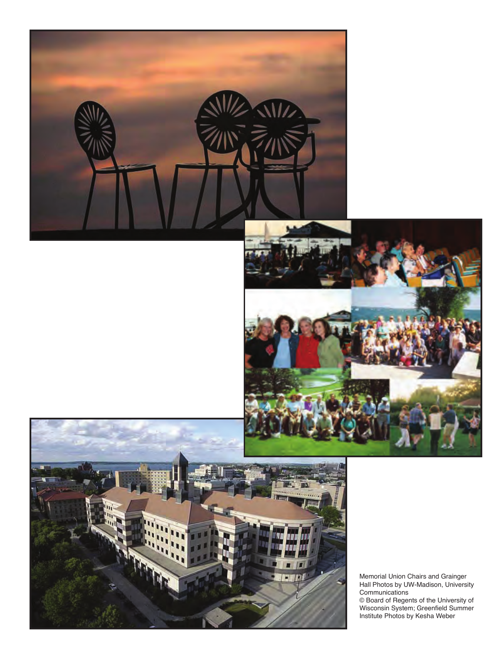





Memorial Union Chairs and Grainger Hall Photos by UW-Madison, University Communications © Board of Regents of the University of Wisconsin System; Greenfield Summer Institute Photos by Kesha Weber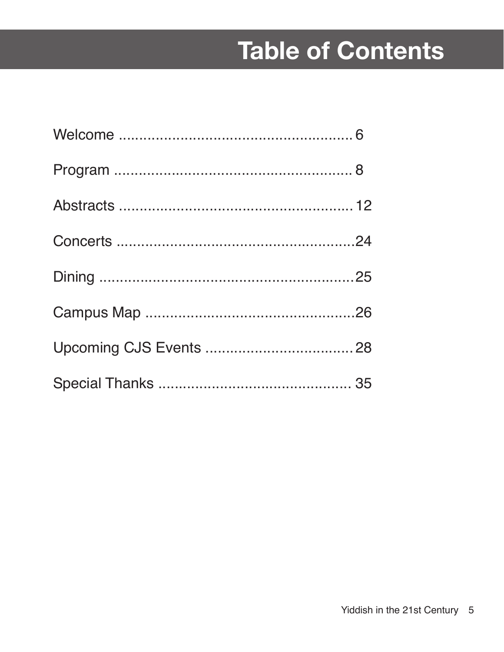## Table of Contents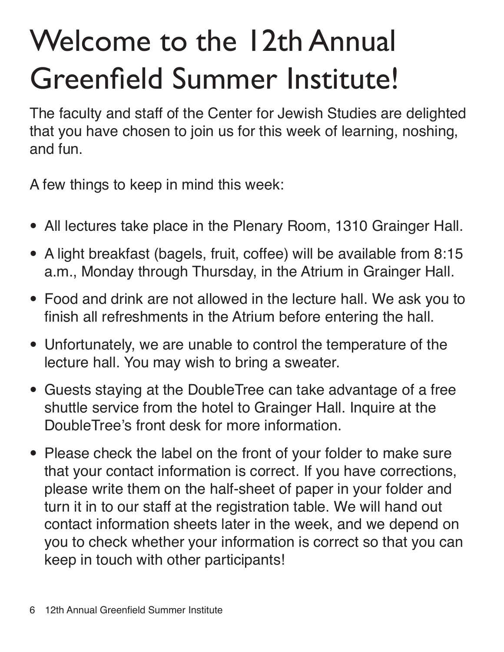# Welcome to the 12th Annual Greenfield Summer Institute!

The faculty and staff of the Center for Jewish Studies are delighted that you have chosen to join us for this week of learning, noshing, and fun.

A few things to keep in mind this week:

- **•**  All lectures take place in the Plenary Room, 1310 Grainger Hall.
- **•**  A light breakfast (bagels, fruit, coffee) will be available from 8:15 a.m., Monday through Thursday, in the Atrium in Grainger Hall.
- **•**  Food and drink are not allowed in the lecture hall. We ask you to finish all refreshments in the Atrium before entering the hall.
- Unfortunately, we are unable to control the temperature of the lecture hall. You may wish to bring a sweater.
- **•**  Guests staying at the DoubleTree can take advantage of a free shuttle service from the hotel to Grainger Hall. Inquire at the DoubleTree's front desk for more information.
- Please check the label on the front of your folder to make sure that your contact information is correct. If you have corrections, please write them on the half-sheet of paper in your folder and turn it in to our staff at the registration table. We will hand out contact information sheets later in the week, and we depend on you to check whether your information is correct so that you can keep in touch with other participants!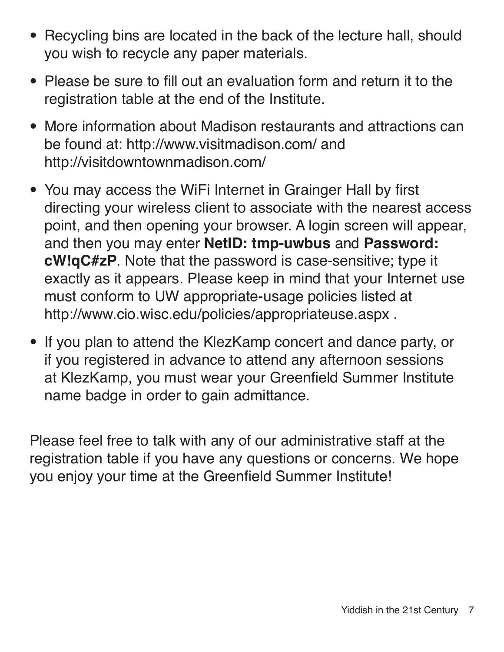- Recycling bins are located in the back of the lecture hall, should you wish to recycle any paper materials.
- **•**  Please be sure to fill out an evaluation form and return it to the registration table at the end of the Institute.
- More information about Madison restaurants and attractions can be found at: http://www.visitmadison.com/ and http://visitdowntownmadison.com/
- **•**  You may access the WiFi Internet in Grainger Hall by first directing your wireless client to associate with the nearest access point, and then opening your browser. A login screen will appear, and then you may enter **NetID: tmp-uwbus** and **Password: cW!qC#zP**. Note that the password is case-sensitive; type it exactly as it appears. Please keep in mind that your Internet use must conform to UW appropriate-usage policies listed at http://www.cio.wisc.edu/policies/appropriateuse.aspx .
- If you plan to attend the KlezKamp concert and dance party, or if you registered in advance to attend any afternoon sessions at KlezKamp, you must wear your Greenfield Summer Institute name badge in order to gain admittance.

Please feel free to talk with any of our administrative staff at the registration table if you have any questions or concerns. We hope you enjoy your time at the Greenfield Summer Institute!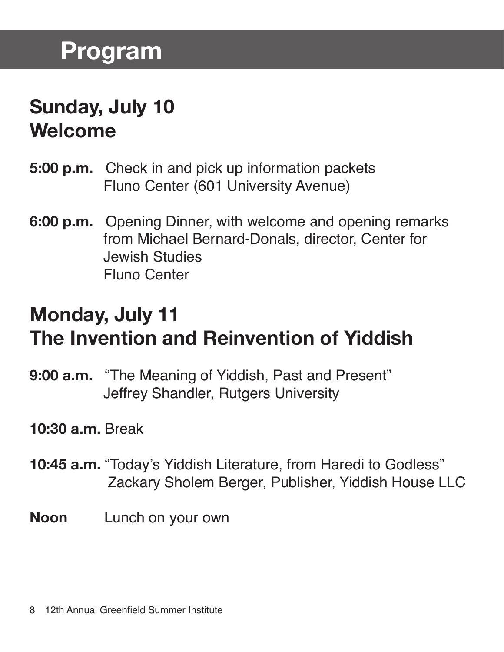### **Sunday, July 10 Welcome**

- **5:00 p.m.** Check in and pick up information packets Fluno Center (601 University Avenue)
- **6:00 p.m.** Opening Dinner, with welcome and opening remarks from Michael Bernard-Donals, director, Center for Jewish Studies Fluno Center

### **Monday, July 11 The Invention and Reinvention of Yiddish**

- **9:00 a.m.** "The Meaning of Yiddish, Past and Present" Jeffrey Shandler, Rutgers University
- **10:30 a.m.** Break
- **10:45 a.m.** "Today's Yiddish Literature, from Haredi to Godless" Zackary Sholem Berger, Publisher, Yiddish House LLC
- **Noon** Lunch on your own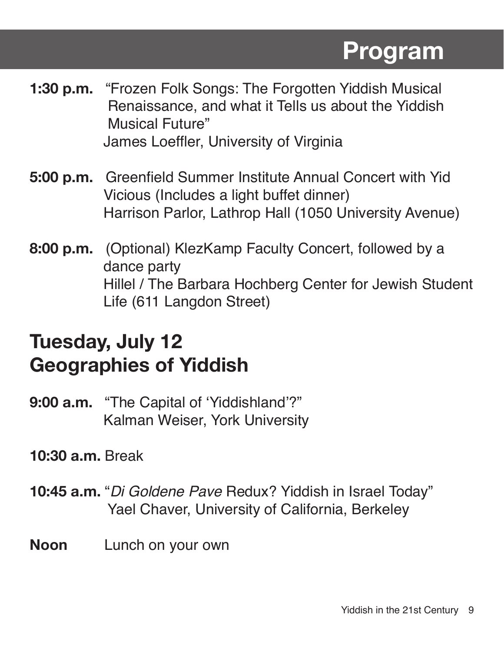- **1:30 p.m.** "Frozen Folk Songs: The Forgotten Yiddish Musical Renaissance, and what it Tells us about the Yiddish Musical Future" James Loeffler, University of Virginia
- **5:00 p.m.** Greenfield Summer Institute Annual Concert with Yid Vicious (Includes a light buffet dinner) Harrison Parlor, Lathrop Hall (1050 University Avenue)
- **8:00 p.m.** (Optional) KlezKamp Faculty Concert, followed by a dance party Hillel / The Barbara Hochberg Center for Jewish Student Life (611 Langdon Street)

### **Tuesday, July 12 Geographies of Yiddish**

- **9:00 a.m.** "The Capital of 'Yiddishland'?" Kalman Weiser, York University
- **10:30 a.m.** Break
- **10:45 a.m.** "*Di Goldene Pave* Redux? Yiddish in Israel Today" Yael Chaver, University of California, Berkeley
- **Noon** Lunch on your own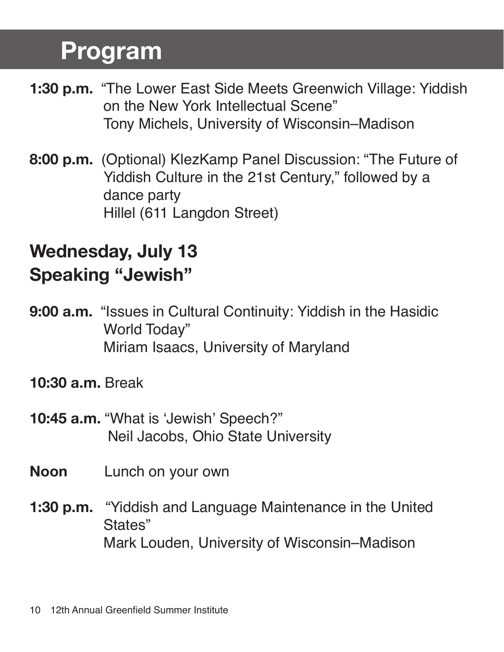- **1:30 p.m.** "The Lower East Side Meets Greenwich Village: Yiddish on the New York Intellectual Scene" Tony Michels, University of Wisconsin–Madison
- **8:00 p.m.** (Optional) KlezKamp Panel Discussion: "The Future of Yiddish Culture in the 21st Century," followed by a dance party Hillel (611 Langdon Street)

### **Wednesday, July 13 Speaking "Jewish"**

- **9:00 a.m.** "Issues in Cultural Continuity: Yiddish in the Hasidic World Today" Miriam Isaacs, University of Maryland
- **10:30 a.m.** Break
- **10:45 a.m.** "What is 'Jewish' Speech?" Neil Jacobs, Ohio State University
- **Noon** Lunch on your own
- **1:30 p.m.** "Yiddish and Language Maintenance in the United States" Mark Louden, University of Wisconsin–Madison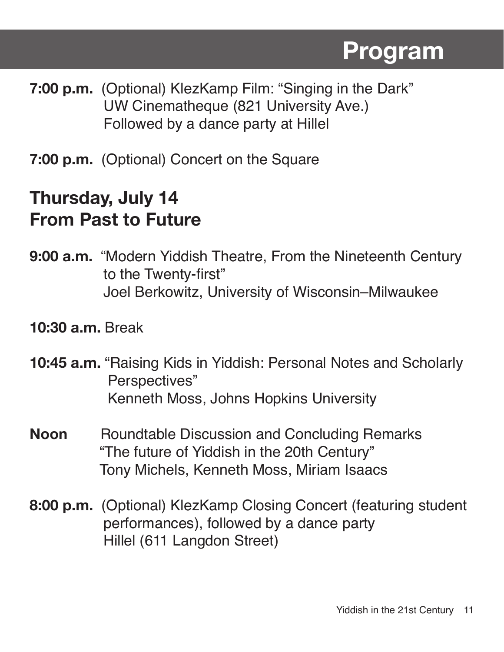- **7:00 p.m.** (Optional) KlezKamp Film: "Singing in the Dark" UW Cinematheque (821 University Ave.) Followed by a dance party at Hillel
- **7:00 p.m.** (Optional) Concert on the Square

#### **Thursday, July 14 From Past to Future**

- **9:00 a.m.** "Modern Yiddish Theatre, From the Nineteenth Century to the Twenty-first" Joel Berkowitz, University of Wisconsin–Milwaukee
- **10:30 a.m.** Break
- **10:45 a.m.** "Raising Kids in Yiddish: Personal Notes and Scholarly Perspectives" Kenneth Moss, Johns Hopkins University
- **Noon** Roundtable Discussion and Concluding Remarks "The future of Yiddish in the 20th Century" Tony Michels, Kenneth Moss, Miriam Isaacs
- **8:00 p.m.** (Optional) KlezKamp Closing Concert (featuring student performances), followed by a dance party Hillel (611 Langdon Street)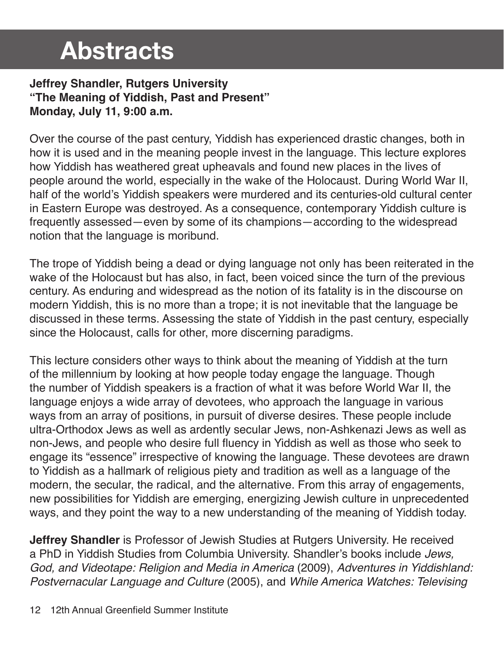#### **Jeffrey Shandler, Rutgers University "The Meaning of Yiddish, Past and Present" Monday, July 11, 9:00 a.m.**

Over the course of the past century, Yiddish has experienced drastic changes, both in how it is used and in the meaning people invest in the language. This lecture explores how Yiddish has weathered great upheavals and found new places in the lives of people around the world, especially in the wake of the Holocaust. During World War II, half of the world's Yiddish speakers were murdered and its centuries-old cultural center in Eastern Europe was destroyed. As a consequence, contemporary Yiddish culture is frequently assessed—even by some of its champions—according to the widespread notion that the language is moribund.

The trope of Yiddish being a dead or dying language not only has been reiterated in the wake of the Holocaust but has also, in fact, been voiced since the turn of the previous century. As enduring and widespread as the notion of its fatality is in the discourse on modern Yiddish, this is no more than a trope; it is not inevitable that the language be discussed in these terms. Assessing the state of Yiddish in the past century, especially since the Holocaust, calls for other, more discerning paradigms.

This lecture considers other ways to think about the meaning of Yiddish at the turn of the millennium by looking at how people today engage the language. Though the number of Yiddish speakers is a fraction of what it was before World War II, the language enjoys a wide array of devotees, who approach the language in various ways from an array of positions, in pursuit of diverse desires. These people include ultra-Orthodox Jews as well as ardently secular Jews, non-Ashkenazi Jews as well as non-Jews, and people who desire full fluency in Yiddish as well as those who seek to engage its "essence" irrespective of knowing the language. These devotees are drawn to Yiddish as a hallmark of religious piety and tradition as well as a language of the modern, the secular, the radical, and the alternative. From this array of engagements, new possibilities for Yiddish are emerging, energizing Jewish culture in unprecedented ways, and they point the way to a new understanding of the meaning of Yiddish today.

**Jeffrey Shandler** is Professor of Jewish Studies at Rutgers University. He received a PhD in Yiddish Studies from Columbia University. Shandler's books include *Jews, God, and Videotape: Religion and Media in America* (2009), *Adventures in Yiddishland: Postvernacular Language and Culture* (2005), and *While America Watches: Televising*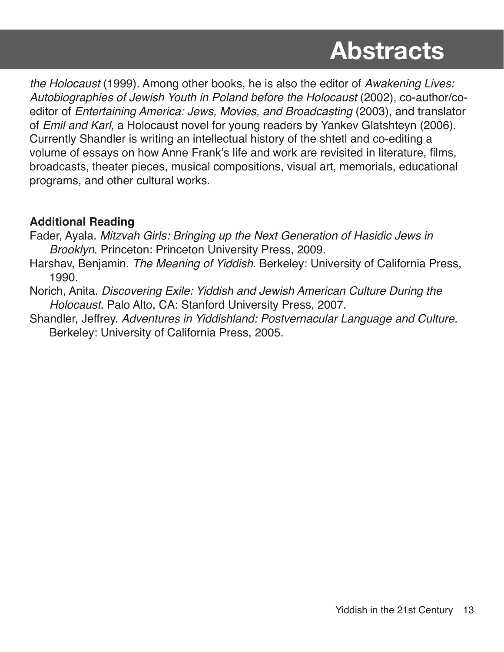*the Holocaust* (1999). Among other books, he is also the editor of *Awakening Lives: Autobiographies of Jewish Youth in Poland before the Holocaust* (2002), co-author/coeditor of *Entertaining America: Jews, Movies, and Broadcasting* (2003), and translator of *Emil and Karl*, a Holocaust novel for young readers by Yankev Glatshteyn (2006). Currently Shandler is writing an intellectual history of the shtetl and co-editing a volume of essays on how Anne Frank's life and work are revisited in literature, films, broadcasts, theater pieces, musical compositions, visual art, memorials, educational programs, and other cultural works.

#### **Additional Reading**

- Fader, Ayala. *Mitzvah Girls: Bringing up the Next Generation of Hasidic Jews in Brooklyn*. Princeton: Princeton University Press, 2009.
- Harshav, Benjamin. *The Meaning of Yiddish*. Berkeley: University of California Press, 1990.
- Norich, Anita. *Discovering Exile: Yiddish and Jewish American Culture During the Holocaust*. Palo Alto, CA: Stanford University Press, 2007.
- Shandler, Jeffrey. *Adventures in Yiddishland: Postvernacular Language and Culture.* Berkeley: University of California Press, 2005.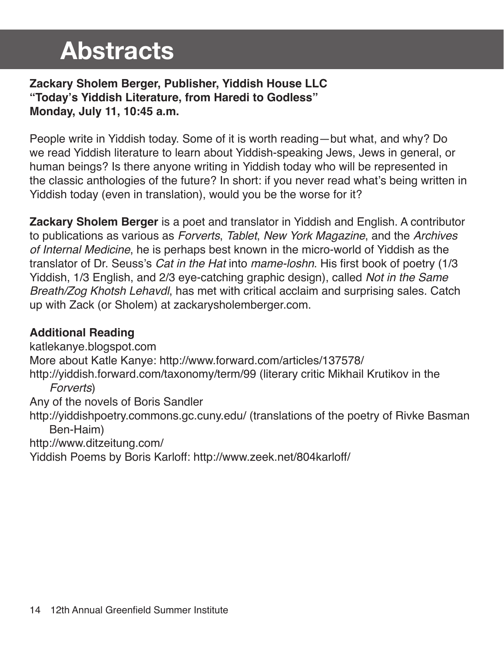#### **Zackary Sholem Berger, Publisher, Yiddish House LLC "Today's Yiddish Literature, from Haredi to Godless" Monday, July 11, 10:45 a.m.**

People write in Yiddish today. Some of it is worth reading—but what, and why? Do we read Yiddish literature to learn about Yiddish-speaking Jews, Jews in general, or human beings? Is there anyone writing in Yiddish today who will be represented in the classic anthologies of the future? In short: if you never read what's being written in Yiddish today (even in translation), would you be the worse for it?

**Zackary Sholem Berger** is a poet and translator in Yiddish and English. A contributor to publications as various as *Forverts*, *Tablet*, *New York Magazine*, and the *Archives of Internal Medicine*, he is perhaps best known in the micro-world of Yiddish as the translator of Dr. Seuss's *Cat in the Hat* into *mame-loshn*. His first book of poetry (1/3 Yiddish, 1/3 English, and 2/3 eye-catching graphic design), called *Not in the Same Breath/Zog Khotsh Lehavdl*, has met with critical acclaim and surprising sales. Catch up with Zack (or Sholem) at zackarysholemberger.com.

#### **Additional Reading**

katlekanye.blogspot.com More about Katle Kanye: http://www.forward.com/articles/137578/ http://yiddish.forward.com/taxonomy/term/99 (literary critic Mikhail Krutikov in the *Forverts*) Any of the novels of Boris Sandler http://yiddishpoetry.commons.gc.cuny.edu/ (translations of the poetry of Rivke Basman Ben-Haim) http://www.ditzeitung.com/ Yiddish Poems by Boris Karloff: http://www.zeek.net/804karloff/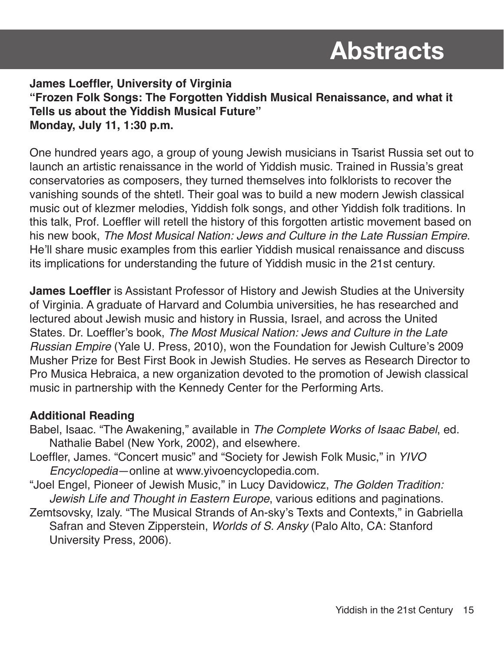**James Loeffler, University of Virginia "Frozen Folk Songs: The Forgotten Yiddish Musical Renaissance, and what it Tells us about the Yiddish Musical Future" Monday, July 11, 1:30 p.m.**

One hundred years ago, a group of young Jewish musicians in Tsarist Russia set out to launch an artistic renaissance in the world of Yiddish music. Trained in Russia's great conservatories as composers, they turned themselves into folklorists to recover the vanishing sounds of the shtetl. Their goal was to build a new modern Jewish classical music out of klezmer melodies, Yiddish folk songs, and other Yiddish folk traditions. In this talk, Prof. Loeffler will retell the history of this forgotten artistic movement based on his new book, *The Most Musical Nation: Jews and Culture in the Late Russian Empire*. He'll share music examples from this earlier Yiddish musical renaissance and discuss its implications for understanding the future of Yiddish music in the 21st century.

**James Loeffler** is Assistant Professor of History and Jewish Studies at the University of Virginia. A graduate of Harvard and Columbia universities, he has researched and lectured about Jewish music and history in Russia, Israel, and across the United States. Dr. Loeffler's book, *The Most Musical Nation: Jews and Culture in the Late Russian Empire* (Yale U. Press, 2010), won the Foundation for Jewish Culture's 2009 Musher Prize for Best First Book in Jewish Studies. He serves as Research Director to Pro Musica Hebraica, a new organization devoted to the promotion of Jewish classical music in partnership with the Kennedy Center for the Performing Arts.

#### **Additional Reading**

- Babel, Isaac. "The Awakening," available in *The Complete Works of Isaac Babel*, ed. Nathalie Babel (New York, 2002), and elsewhere.
- Loeffler, James. "Concert music" and "Society for Jewish Folk Music," in *YIVO Encyclopedia*—online at www.yivoencyclopedia.com.
- "Joel Engel, Pioneer of Jewish Music," in Lucy Davidowicz, *The Golden Tradition: Jewish Life and Thought in Eastern Europe*, various editions and paginations.
- Zemtsovsky, Izaly. "The Musical Strands of An-sky's Texts and Contexts," in Gabriella Safran and Steven Zipperstein, *Worlds of S. Ansky* (Palo Alto, CA: Stanford University Press, 2006).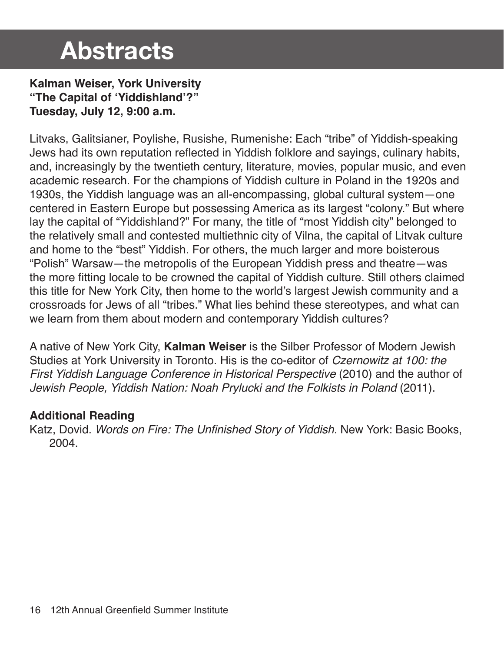**Kalman Weiser, York University "The Capital of 'Yiddishland'?" Tuesday, July 12, 9:00 a.m.**

Litvaks, Galitsianer, Poylishe, Rusishe, Rumenishe: Each "tribe" of Yiddish-speaking Jews had its own reputation reflected in Yiddish folklore and sayings, culinary habits, and, increasingly by the twentieth century, literature, movies, popular music, and even academic research. For the champions of Yiddish culture in Poland in the 1920s and 1930s, the Yiddish language was an all-encompassing, global cultural system—one centered in Eastern Europe but possessing America as its largest "colony." But where lay the capital of "Yiddishland?" For many, the title of "most Yiddish city" belonged to the relatively small and contested multiethnic city of Vilna, the capital of Litvak culture and home to the "best" Yiddish. For others, the much larger and more boisterous "Polish" Warsaw—the metropolis of the European Yiddish press and theatre—was the more fitting locale to be crowned the capital of Yiddish culture. Still others claimed this title for New York City, then home to the world's largest Jewish community and a crossroads for Jews of all "tribes." What lies behind these stereotypes, and what can we learn from them about modern and contemporary Yiddish cultures?

A native of New York City, **Kalman Weiser** is the Silber Professor of Modern Jewish Studies at York University in Toronto. His is the co-editor of *Czernowitz at 100: the First Yiddish Language Conference in Historical Perspective* (2010) and the author of *Jewish People, Yiddish Nation: Noah Prylucki and the Folkists in Poland* (2011).

#### **Additional Reading**

Katz, Dovid. Words on Fire: The Unfinished Story of Yiddish. New York: Basic Books, 2004.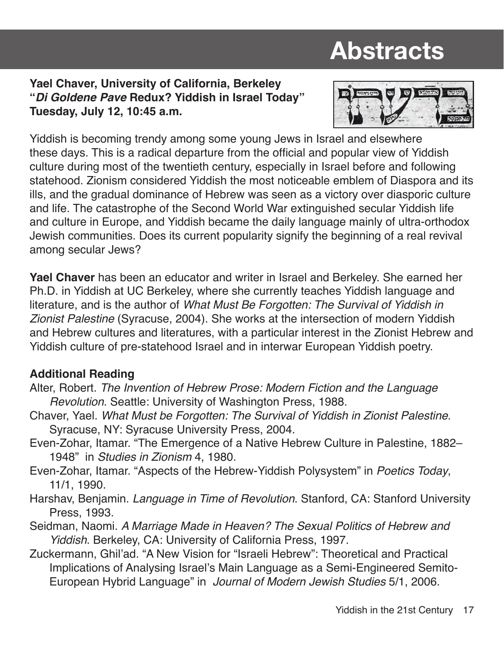#### **Yael Chaver, University of California, Berkeley "***Di Goldene Pave* **Redux? Yiddish in Israel Today" Tuesday, July 12, 10:45 a.m.**



Yiddish is becoming trendy among some young Jews in Israel and elsewhere these days. This is a radical departure from the official and popular view of Yiddish culture during most of the twentieth century, especially in Israel before and following statehood. Zionism considered Yiddish the most noticeable emblem of Diaspora and its ills, and the gradual dominance of Hebrew was seen as a victory over diasporic culture and life. The catastrophe of the Second World War extinguished secular Yiddish life and culture in Europe, and Yiddish became the daily language mainly of ultra-orthodox Jewish communities. Does its current popularity signify the beginning of a real revival among secular Jews?

**Yael Chaver** has been an educator and writer in Israel and Berkeley. She earned her Ph.D. in Yiddish at UC Berkeley, where she currently teaches Yiddish language and literature, and is the author of *What Must Be Forgotten: The Survival of Yiddish in Zionist Palestine* (Syracuse, 2004). She works at the intersection of modern Yiddish and Hebrew cultures and literatures, with a particular interest in the Zionist Hebrew and Yiddish culture of pre-statehood Israel and in interwar European Yiddish poetry.

#### **Additional Reading**

- Alter, Robert. *The Invention of Hebrew Prose: Modern Fiction and the Language Revolution*. Seattle: University of Washington Press, 1988.
- Chaver, Yael. *What Must be Forgotten: The Survival of Yiddish in Zionist Palestine*. Syracuse, NY: Syracuse University Press, 2004.
- Even-Zohar, Itamar. "The Emergence of a Native Hebrew Culture in Palestine, 1882– 1948" in *Studies in Zionism* 4, 1980.
- Even-Zohar, Itamar. "Aspects of the Hebrew-Yiddish Polysystem" in *Poetics Today*, 11/1, 1990.
- Harshav, Benjamin. *Language in Time of Revolution*. Stanford, CA: Stanford University Press, 1993.
- Seidman, Naomi. *A Marriage Made in Heaven? The Sexual Politics of Hebrew and Yiddish*. Berkeley, CA: University of California Press, 1997.
- Zuckermann, Ghil'ad. "A New Vision for "Israeli Hebrew": Theoretical and Practical Implications of Analysing Israel's Main Language as a Semi-Engineered Semito-European Hybrid Language" in *Journal of Modern Jewish Studies* 5/1, 2006.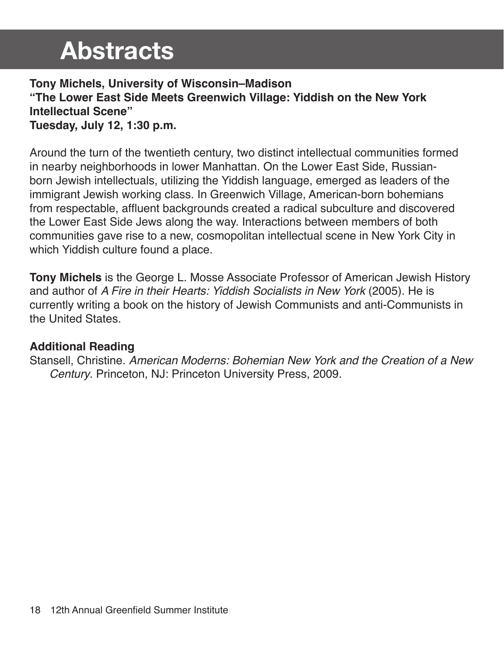#### **Tony Michels, University of Wisconsin–Madison "The Lower East Side Meets Greenwich Village: Yiddish on the New York Intellectual Scene" Tuesday, July 12, 1:30 p.m.**

Around the turn of the twentieth century, two distinct intellectual communities formed in nearby neighborhoods in lower Manhattan. On the Lower East Side, Russianborn Jewish intellectuals, utilizing the Yiddish language, emerged as leaders of the immigrant Jewish working class. In Greenwich Village, American-born bohemians from respectable, affluent backgrounds created a radical subculture and discovered the Lower East Side Jews along the way. Interactions between members of both communities gave rise to a new, cosmopolitan intellectual scene in New York City in which Yiddish culture found a place.

**Tony Michels** is the George L. Mosse Associate Professor of American Jewish History and author of *A Fire in their Hearts: Yiddish Socialists in New York* (2005). He is currently writing a book on the history of Jewish Communists and anti-Communists in the United States.

#### **Additional Reading**

Stansell, Christine. *American Moderns: Bohemian New York and the Creation of a New Century*. Princeton, NJ: Princeton University Press, 2009.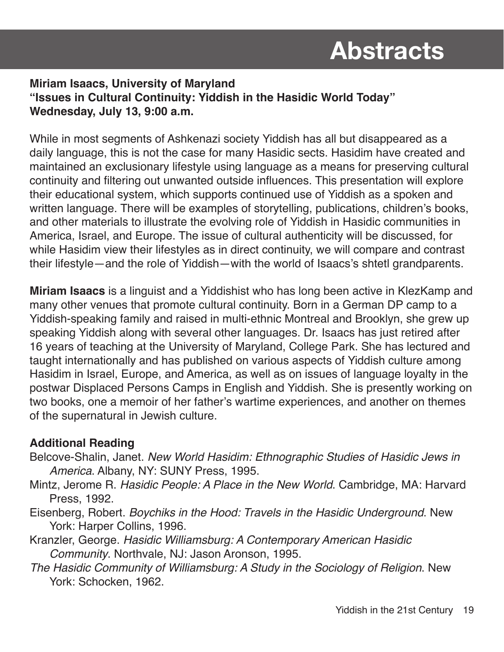#### **Miriam Isaacs, University of Maryland "Issues in Cultural Continuity: Yiddish in the Hasidic World Today" Wednesday, July 13, 9:00 a.m.**

While in most segments of Ashkenazi society Yiddish has all but disappeared as a daily language, this is not the case for many Hasidic sects. Hasidim have created and maintained an exclusionary lifestyle using language as a means for preserving cultural continuity and filtering out unwanted outside influences. This presentation will explore their educational system, which supports continued use of Yiddish as a spoken and written language. There will be examples of storytelling, publications, children's books, and other materials to illustrate the evolving role of Yiddish in Hasidic communities in America, Israel, and Europe. The issue of cultural authenticity will be discussed, for while Hasidim view their lifestyles as in direct continuity, we will compare and contrast their lifestyle—and the role of Yiddish—with the world of Isaacs's shtetl grandparents.

**Miriam Isaacs** is a linguist and a Yiddishist who has long been active in KlezKamp and many other venues that promote cultural continuity. Born in a German DP camp to a Yiddish-speaking family and raised in multi-ethnic Montreal and Brooklyn, she grew up speaking Yiddish along with several other languages. Dr. Isaacs has just retired after 16 years of teaching at the University of Maryland, College Park. She has lectured and taught internationally and has published on various aspects of Yiddish culture among Hasidim in Israel, Europe, and America, as well as on issues of language loyalty in the postwar Displaced Persons Camps in English and Yiddish. She is presently working on two books, one a memoir of her father's wartime experiences, and another on themes of the supernatural in Jewish culture.

#### **Additional Reading**

- Belcove-Shalin, Janet. *New World Hasidim: Ethnographic Studies of Hasidic Jews in America*. Albany, NY: SUNY Press, 1995.
- Mintz, Jerome R. *Hasidic People: A Place in the New World*. Cambridge, MA: Harvard Press, 1992.
- Eisenberg, Robert. *Boychiks in the Hood: Travels in the Hasidic Underground*. New York: Harper Collins, 1996.
- Kranzler, George. *Hasidic Williamsburg: A Contemporary American Hasidic Community*. Northvale, NJ: Jason Aronson, 1995.
- *The Hasidic Community of Williamsburg: A Study in the Sociology of Religion*. New York: Schocken, 1962.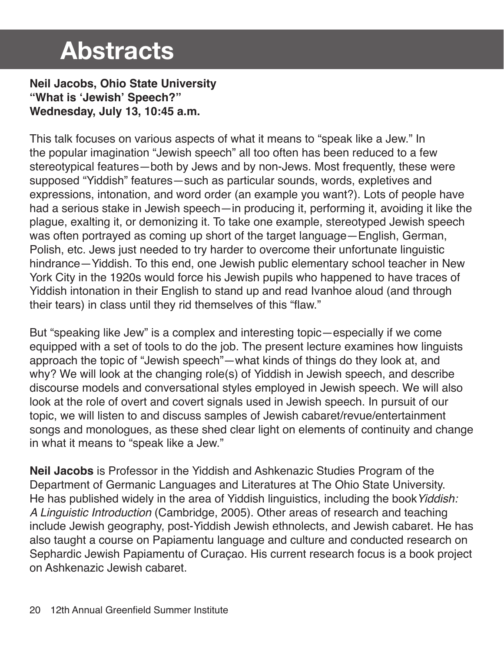**Neil Jacobs, Ohio State University "What is 'Jewish' Speech?" Wednesday, July 13, 10:45 a.m.**

This talk focuses on various aspects of what it means to "speak like a Jew." In the popular imagination "Jewish speech" all too often has been reduced to a few stereotypical features—both by Jews and by non-Jews. Most frequently, these were supposed "Yiddish" features—such as particular sounds, words, expletives and expressions, intonation, and word order (an example you want?). Lots of people have had a serious stake in Jewish speech—in producing it, performing it, avoiding it like the plague, exalting it, or demonizing it. To take one example, stereotyped Jewish speech was often portrayed as coming up short of the target language—English, German, Polish, etc. Jews just needed to try harder to overcome their unfortunate linguistic hindrance—Yiddish. To this end, one Jewish public elementary school teacher in New York City in the 1920s would force his Jewish pupils who happened to have traces of Yiddish intonation in their English to stand up and read Ivanhoe aloud (and through their tears) in class until they rid themselves of this "flaw."

But "speaking like Jew" is a complex and interesting topic—especially if we come equipped with a set of tools to do the job. The present lecture examines how linguists approach the topic of "Jewish speech"—what kinds of things do they look at, and why? We will look at the changing role(s) of Yiddish in Jewish speech, and describe discourse models and conversational styles employed in Jewish speech. We will also look at the role of overt and covert signals used in Jewish speech. In pursuit of our topic, we will listen to and discuss samples of Jewish cabaret/revue/entertainment songs and monologues, as these shed clear light on elements of continuity and change in what it means to "speak like a Jew."

**Neil Jacobs** is Professor in the Yiddish and Ashkenazic Studies Program of the Department of Germanic Languages and Literatures at The Ohio State University. He has published widely in the area of Yiddish linguistics, including the book*Yiddish: A Linguistic Introduction* (Cambridge, 2005). Other areas of research and teaching include Jewish geography, post-Yiddish Jewish ethnolects, and Jewish cabaret. He has also taught a course on Papiamentu language and culture and conducted research on Sephardic Jewish Papiamentu of Curaçao. His current research focus is a book project on Ashkenazic Jewish cabaret.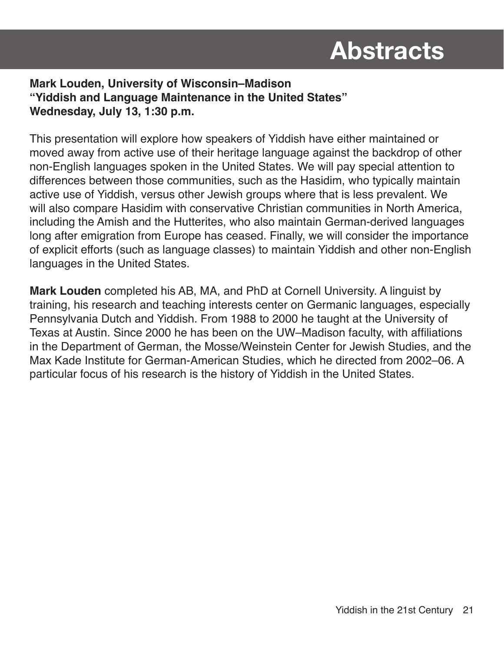#### **Mark Louden, University of Wisconsin–Madison "Yiddish and Language Maintenance in the United States" Wednesday, July 13, 1:30 p.m.**

This presentation will explore how speakers of Yiddish have either maintained or moved away from active use of their heritage language against the backdrop of other non-English languages spoken in the United States. We will pay special attention to differences between those communities, such as the Hasidim, who typically maintain active use of Yiddish, versus other Jewish groups where that is less prevalent. We will also compare Hasidim with conservative Christian communities in North America, including the Amish and the Hutterites, who also maintain German-derived languages long after emigration from Europe has ceased. Finally, we will consider the importance of explicit efforts (such as language classes) to maintain Yiddish and other non-English languages in the United States.

**Mark Louden** completed his AB, MA, and PhD at Cornell University. A linguist by training, his research and teaching interests center on Germanic languages, especially Pennsylvania Dutch and Yiddish. From 1988 to 2000 he taught at the University of Texas at Austin. Since 2000 he has been on the UW–Madison faculty, with affiliations in the Department of German, the Mosse/Weinstein Center for Jewish Studies, and the Max Kade Institute for German-American Studies, which he directed from 2002–06. A particular focus of his research is the history of Yiddish in the United States.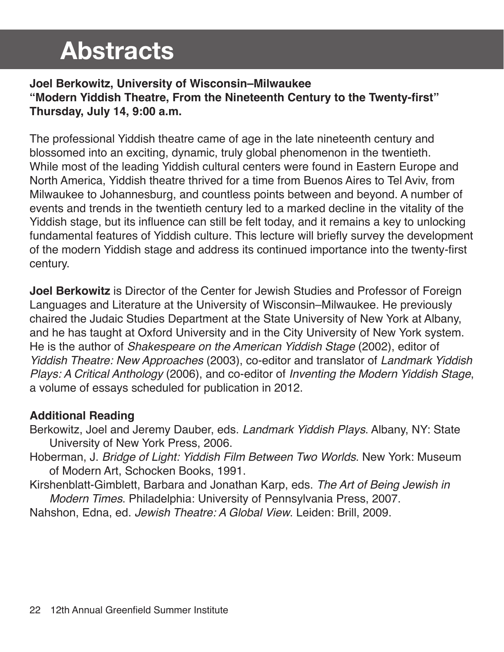#### **Joel Berkowitz, University of Wisconsin–Milwaukee "Modern Yiddish Theatre, From the Nineteenth Century to the Twenty-first" Thursday, July 14, 9:00 a.m.**

The professional Yiddish theatre came of age in the late nineteenth century and blossomed into an exciting, dynamic, truly global phenomenon in the twentieth. While most of the leading Yiddish cultural centers were found in Eastern Europe and North America, Yiddish theatre thrived for a time from Buenos Aires to Tel Aviv, from Milwaukee to Johannesburg, and countless points between and beyond. A number of events and trends in the twentieth century led to a marked decline in the vitality of the Yiddish stage, but its influence can still be felt today, and it remains a key to unlocking fundamental features of Yiddish culture. This lecture will briefly survey the development of the modern Yiddish stage and address its continued importance into the twenty-first century.

**Joel Berkowitz** is Director of the Center for Jewish Studies and Professor of Foreign Languages and Literature at the University of Wisconsin–Milwaukee. He previously chaired the Judaic Studies Department at the State University of New York at Albany, and he has taught at Oxford University and in the City University of New York system. He is the author of *Shakespeare on the American Yiddish Stage* (2002), editor of *Yiddish Theatre: New Approaches* (2003), co-editor and translator of *Landmark Yiddish Plays: A Critical Anthology* (2006), and co-editor of *Inventing the Modern Yiddish Stage*, a volume of essays scheduled for publication in 2012.

#### **Additional Reading**

- Berkowitz, Joel and Jeremy Dauber, eds. *Landmark Yiddish Plays*. Albany, NY: State University of New York Press, 2006.
- Hoberman, J. *Bridge of Light: Yiddish Film Between Two Worlds*. New York: Museum of Modern Art, Schocken Books, 1991.

Kirshenblatt-Gimblett, Barbara and Jonathan Karp, eds. *The Art of Being Jewish in Modern Times*. Philadelphia: University of Pennsylvania Press, 2007.

Nahshon, Edna, ed. *Jewish Theatre: A Global View*. Leiden: Brill, 2009.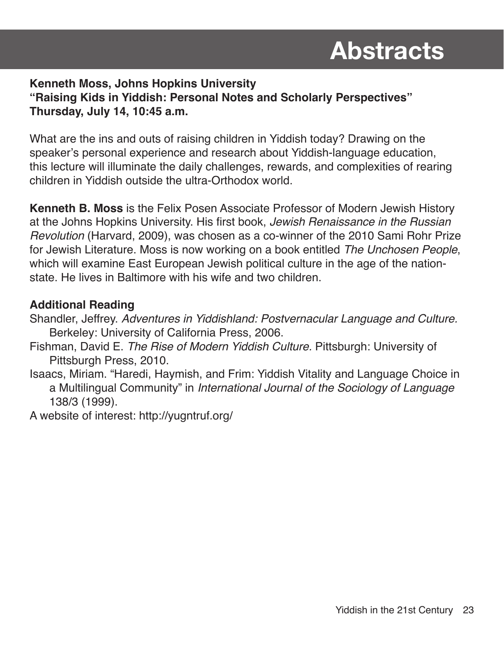#### **Kenneth Moss, Johns Hopkins University "Raising Kids in Yiddish: Personal Notes and Scholarly Perspectives" Thursday, July 14, 10:45 a.m.**

What are the ins and outs of raising children in Yiddish today? Drawing on the speaker's personal experience and research about Yiddish-language education, this lecture will illuminate the daily challenges, rewards, and complexities of rearing children in Yiddish outside the ultra-Orthodox world.

**Kenneth B. Moss** is the Felix Posen Associate Professor of Modern Jewish History at the Johns Hopkins University. His first book, *Jewish Renaissance in the Russian Revolution* (Harvard, 2009), was chosen as a co-winner of the 2010 Sami Rohr Prize for Jewish Literature. Moss is now working on a book entitled *The Unchosen People*, which will examine East European Jewish political culture in the age of the nationstate. He lives in Baltimore with his wife and two children.

#### **Additional Reading**

Shandler, Jeffrey. *Adventures in Yiddishland: Postvernacular Language and Culture.* Berkeley: University of California Press, 2006.

- Fishman, David E. *The Rise of Modern Yiddish Culture.* Pittsburgh: University of Pittsburgh Press, 2010.
- Isaacs, Miriam. "Haredi, Haymish, and Frim: Yiddish Vitality and Language Choice in a Multilingual Community" in *International Journal of the Sociology of Language*  138/3 (1999).

A website of interest: http://yugntruf.org/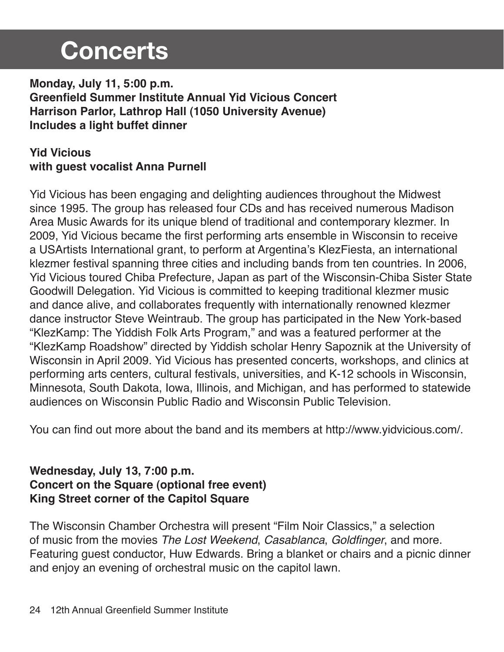### **Concerts**

**Monday, July 11, 5:00 p.m. Greenfield Summer Institute Annual Yid Vicious Concert Harrison Parlor, Lathrop Hall (1050 University Avenue) Includes a light buffet dinner**

#### **Yid Vicious with guest vocalist Anna Purnell**

Yid Vicious has been engaging and delighting audiences throughout the Midwest since 1995. The group has released four CDs and has received numerous Madison Area Music Awards for its unique blend of traditional and contemporary klezmer. In 2009, Yid Vicious became the first performing arts ensemble in Wisconsin to receive a USArtists International grant, to perform at Argentina's KlezFiesta, an international klezmer festival spanning three cities and including bands from ten countries. In 2006, Yid Vicious toured Chiba Prefecture, Japan as part of the Wisconsin-Chiba Sister State Goodwill Delegation. Yid Vicious is committed to keeping traditional klezmer music and dance alive, and collaborates frequently with internationally renowned klezmer dance instructor Steve Weintraub. The group has participated in the New York-based "KlezKamp: The Yiddish Folk Arts Program," and was a featured performer at the "KlezKamp Roadshow" directed by Yiddish scholar Henry Sapoznik at the University of Wisconsin in April 2009. Yid Vicious has presented concerts, workshops, and clinics at performing arts centers, cultural festivals, universities, and K-12 schools in Wisconsin, Minnesota, South Dakota, Iowa, Illinois, and Michigan, and has performed to statewide audiences on Wisconsin Public Radio and Wisconsin Public Television.

You can find out more about the band and its members at http://www.yidvicious.com/.

#### **Wednesday, July 13, 7:00 p.m. Concert on the Square (optional free event) King Street corner of the Capitol Square**

The Wisconsin Chamber Orchestra will present "Film Noir Classics," a selection of music from the movies *The Lost Weekend*, *Casablanca*, Goldfinger, and more. Featuring guest conductor, Huw Edwards. Bring a blanket or chairs and a picnic dinner and enjoy an evening of orchestral music on the capitol lawn.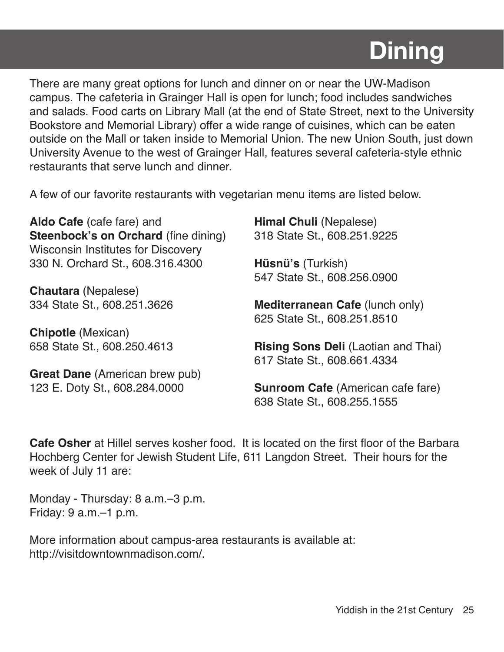## **Dining**

There are many great options for lunch and dinner on or near the UW-Madison campus. The cafeteria in Grainger Hall is open for lunch; food includes sandwiches and salads. Food carts on Library Mall (at the end of State Street, next to the University Bookstore and Memorial Library) offer a wide range of cuisines, which can be eaten outside on the Mall or taken inside to Memorial Union. The new Union South, just down University Avenue to the west of Grainger Hall, features several cafeteria-style ethnic restaurants that serve lunch and dinner.

A few of our favorite restaurants with vegetarian menu items are listed below.

**Aldo Cafe** (cafe fare) and **Steenbock's on Orchard** (fine dining) Wisconsin Institutes for Discovery 330 N. Orchard St., 608.316.4300

**Chautara** (Nepalese) 334 State St., 608.251.3626

**Chipotle** (Mexican) 658 State St., 608.250.4613

**Great Dane** (American brew pub) 123 E. Doty St., 608.284.0000

**Himal Chuli** (Nepalese) 318 State St., 608.251.9225

**Hüsnü's** (Turkish) 547 State St., 608.256.0900

**Mediterranean Cafe** (lunch only) 625 State St., 608.251.8510

**Rising Sons Deli** (Laotian and Thai) 617 State St., 608.661.4334

**Sunroom Cafe** (American cafe fare) 638 State St., 608.255.1555

**Cafe Osher** at Hillel serves kosher food. It is located on the first floor of the Barbara Hochberg Center for Jewish Student Life, 611 Langdon Street. Their hours for the week of July 11 are:

Monday - Thursday: 8 a.m.–3 p.m. Friday: 9 a.m.–1 p.m.

More information about campus-area restaurants is available at: http://visitdowntownmadison.com/.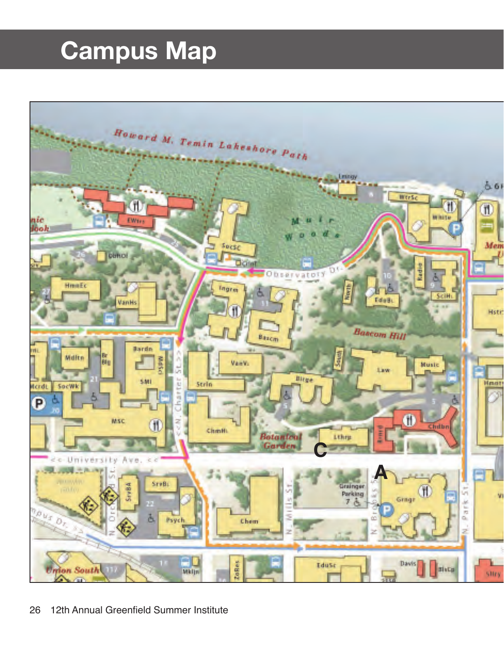## **Campus Map**

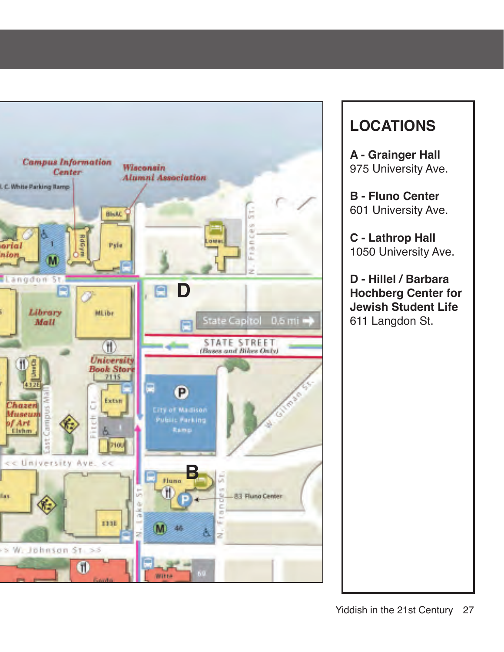

#### **LOCATIONS**

**A - Grainger Hall** 975 University Ave.

**B - Fluno Center** 601 University Ave.

**C - Lathrop Hall** 1050 University Ave.

**D - Hillel / Barbara Hochberg Center for Jewish Student Life** 611 Langdon St.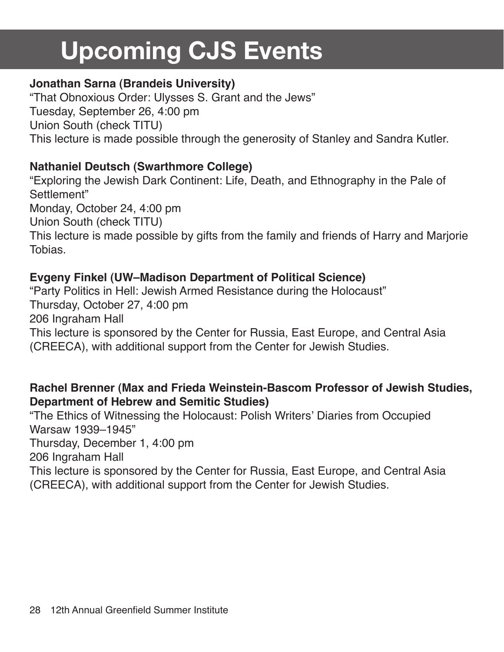## **Upcoming CJS Events**

#### **Jonathan Sarna (Brandeis University)**

"That Obnoxious Order: Ulysses S. Grant and the Jews" Tuesday, September 26, 4:00 pm Union South (check TITU) This lecture is made possible through the generosity of Stanley and Sandra Kutler.

#### **Nathaniel Deutsch (Swarthmore College)**

"Exploring the Jewish Dark Continent: Life, Death, and Ethnography in the Pale of Settlement" Monday, October 24, 4:00 pm Union South (check TITU) This lecture is made possible by gifts from the family and friends of Harry and Marjorie Tobias.

#### **Evgeny Finkel (UW–Madison Department of Political Science)**

"Party Politics in Hell: Jewish Armed Resistance during the Holocaust" Thursday, October 27, 4:00 pm 206 Ingraham Hall This lecture is sponsored by the Center for Russia, East Europe, and Central Asia (CREECA), with additional support from the Center for Jewish Studies.

#### **Rachel Brenner (Max and Frieda Weinstein-Bascom Professor of Jewish Studies, Department of Hebrew and Semitic Studies)**

"The Ethics of Witnessing the Holocaust: Polish Writers' Diaries from Occupied Warsaw 1939–1945" Thursday, December 1, 4:00 pm 206 Ingraham Hall This lecture is sponsored by the Center for Russia, East Europe, and Central Asia (CREECA), with additional support from the Center for Jewish Studies.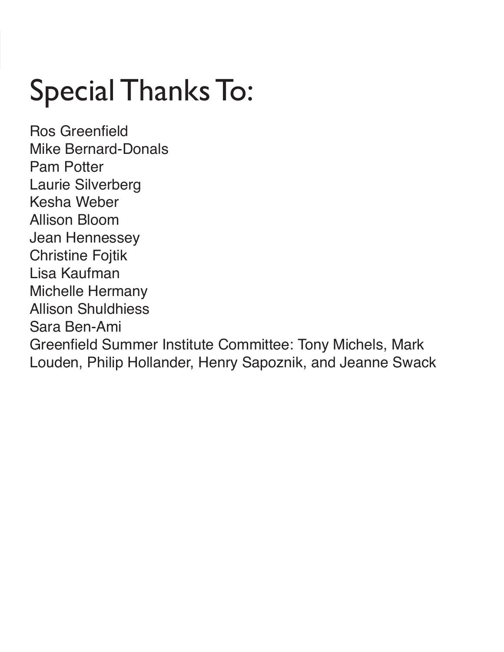# Special Thanks To:

Ros Greenfield Mike Bernard-Donals Pam Potter Laurie Silverberg Kesha Weber Allison Bloom Jean Hennessey Christine Fojtik Lisa Kaufman Michelle Hermany Allison Shuldhiess Sara Ben-Ami Greenfield Summer Institute Committee: Tony Michels, Mark Louden, Philip Hollander, Henry Sapoznik, and Jeanne Swack